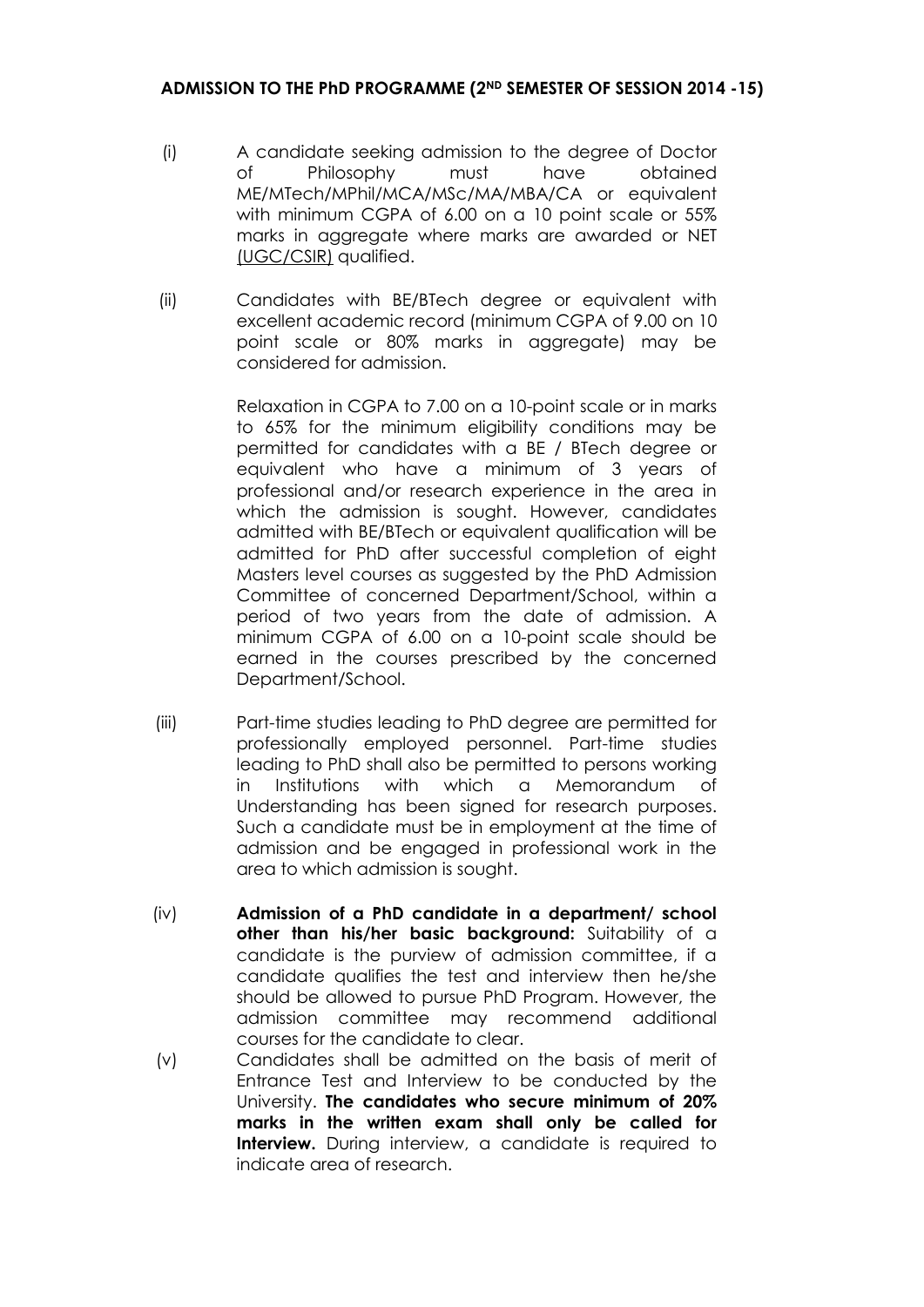- (i) A candidate seeking admission to the degree of Doctor of Philosophy must have obtained ME/MTech/MPhil/MCA/MSc/MA/MBA/CA or equivalent with minimum CGPA of 6.00 on a 10 point scale or 55% marks in aggregate where marks are awarded or NET (UGC/CSIR) qualified.
- (ii) Candidates with BE/BTech degree or equivalent with excellent academic record (minimum CGPA of 9.00 on 10 point scale or 80% marks in aggregate) may be considered for admission.

Relaxation in CGPA to 7.00 on a 10-point scale or in marks to 65% for the minimum eligibility conditions may be permitted for candidates with a BE / BTech degree or equivalent who have a minimum of 3 years of professional and/or research experience in the area in which the admission is sought. However, candidates admitted with BE/BTech or equivalent qualification will be admitted for PhD after successful completion of eight Masters level courses as suggested by the PhD Admission Committee of concerned Department/School, within a period of two years from the date of admission. A minimum CGPA of 6.00 on a 10-point scale should be earned in the courses prescribed by the concerned Department/School.

- (iii) Part-time studies leading to PhD degree are permitted for professionally employed personnel. Part-time studies leading to PhD shall also be permitted to persons working in Institutions with which a Memorandum of Understanding has been signed for research purposes. Such a candidate must be in employment at the time of admission and be engaged in professional work in the area to which admission is sought.
- (iv) **Admission of a PhD candidate in a department/ school other than his/her basic background:** Suitability of a candidate is the purview of admission committee, if a candidate qualifies the test and interview then he/she should be allowed to pursue PhD Program. However, the admission committee may recommend additional courses for the candidate to clear.
- (v) Candidates shall be admitted on the basis of merit of Entrance Test and Interview to be conducted by the University. **The candidates who secure minimum of 20% marks in the written exam shall only be called for Interview.** During interview, a candidate is required to indicate area of research.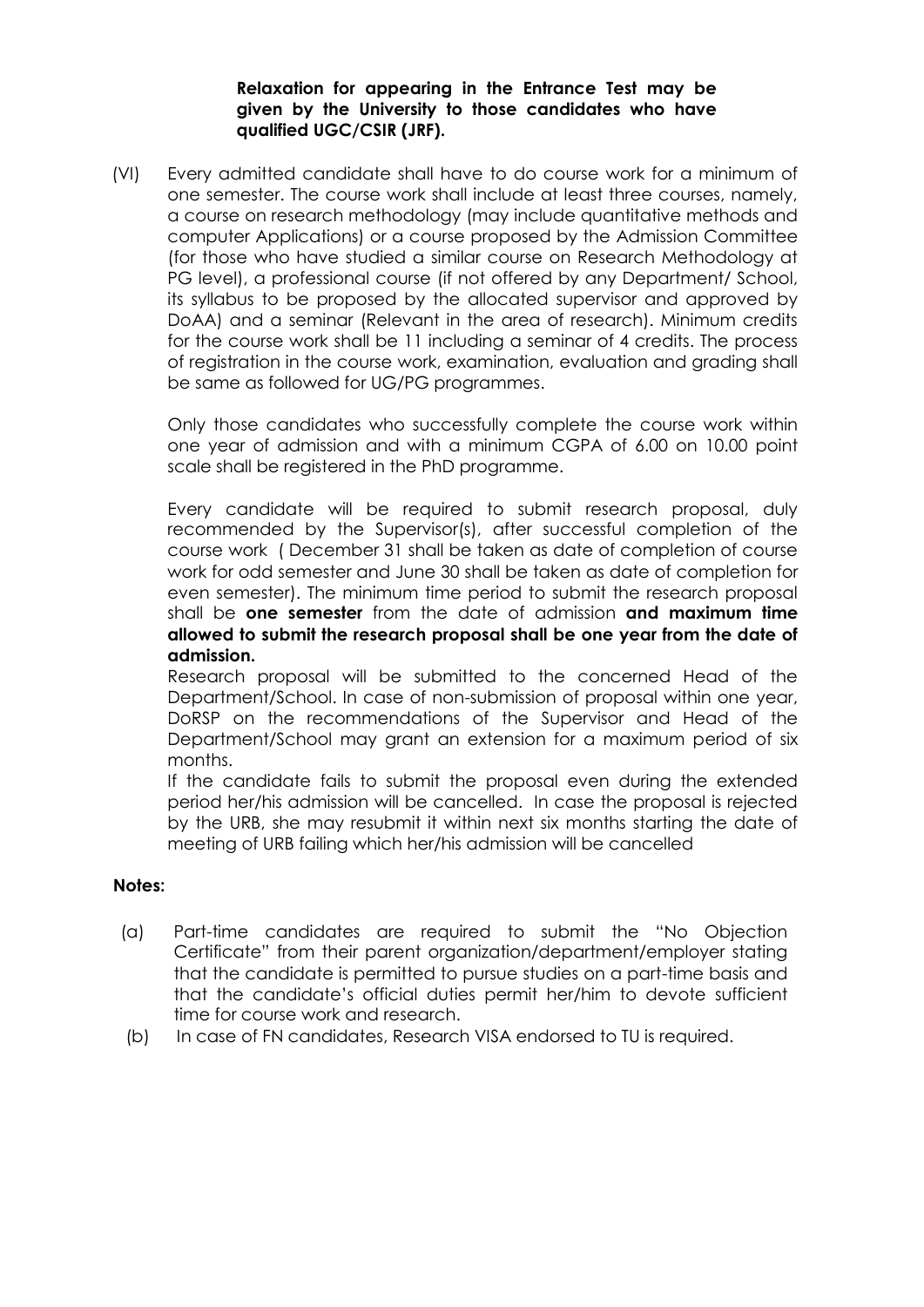### **Relaxation for appearing in the Entrance Test may be given by the University to those candidates who have qualified UGC/CSIR (JRF).**

(VI) Every admitted candidate shall have to do course work for a minimum of one semester. The course work shall include at least three courses, namely, a course on research methodology (may include quantitative methods and computer Applications) or a course proposed by the Admission Committee (for those who have studied a similar course on Research Methodology at PG level), a professional course (if not offered by any Department/ School, its syllabus to be proposed by the allocated supervisor and approved by DoAA) and a seminar (Relevant in the area of research). Minimum credits for the course work shall be 11 including a seminar of 4 credits. The process of registration in the course work, examination, evaluation and grading shall be same as followed for UG/PG programmes.

Only those candidates who successfully complete the course work within one year of admission and with a minimum CGPA of 6.00 on 10.00 point scale shall be registered in the PhD programme.

Every candidate will be required to submit research proposal, duly recommended by the Supervisor(s), after successful completion of the course work ( December 31 shall be taken as date of completion of course work for odd semester and June 30 shall be taken as date of completion for even semester). The minimum time period to submit the research proposal shall be **one semester** from the date of admission **and maximum time allowed to submit the research proposal shall be one year from the date of admission.** 

Research proposal will be submitted to the concerned Head of the Department/School. In case of non-submission of proposal within one year, DoRSP on the recommendations of the Supervisor and Head of the Department/School may grant an extension for a maximum period of six months.

If the candidate fails to submit the proposal even during the extended period her/his admission will be cancelled. In case the proposal is rejected by the URB, she may resubmit it within next six months starting the date of meeting of URB failing which her/his admission will be cancelled

#### **Notes:**

- (a) Part-time candidates are required to submit the "No Objection Certificate" from their parent organization/department/employer stating that the candidate is permitted to pursue studies on a part-time basis and that the candidate"s official duties permit her/him to devote sufficient time for course work and research.
- (b) In case of FN candidates, Research VISA endorsed to TU is required.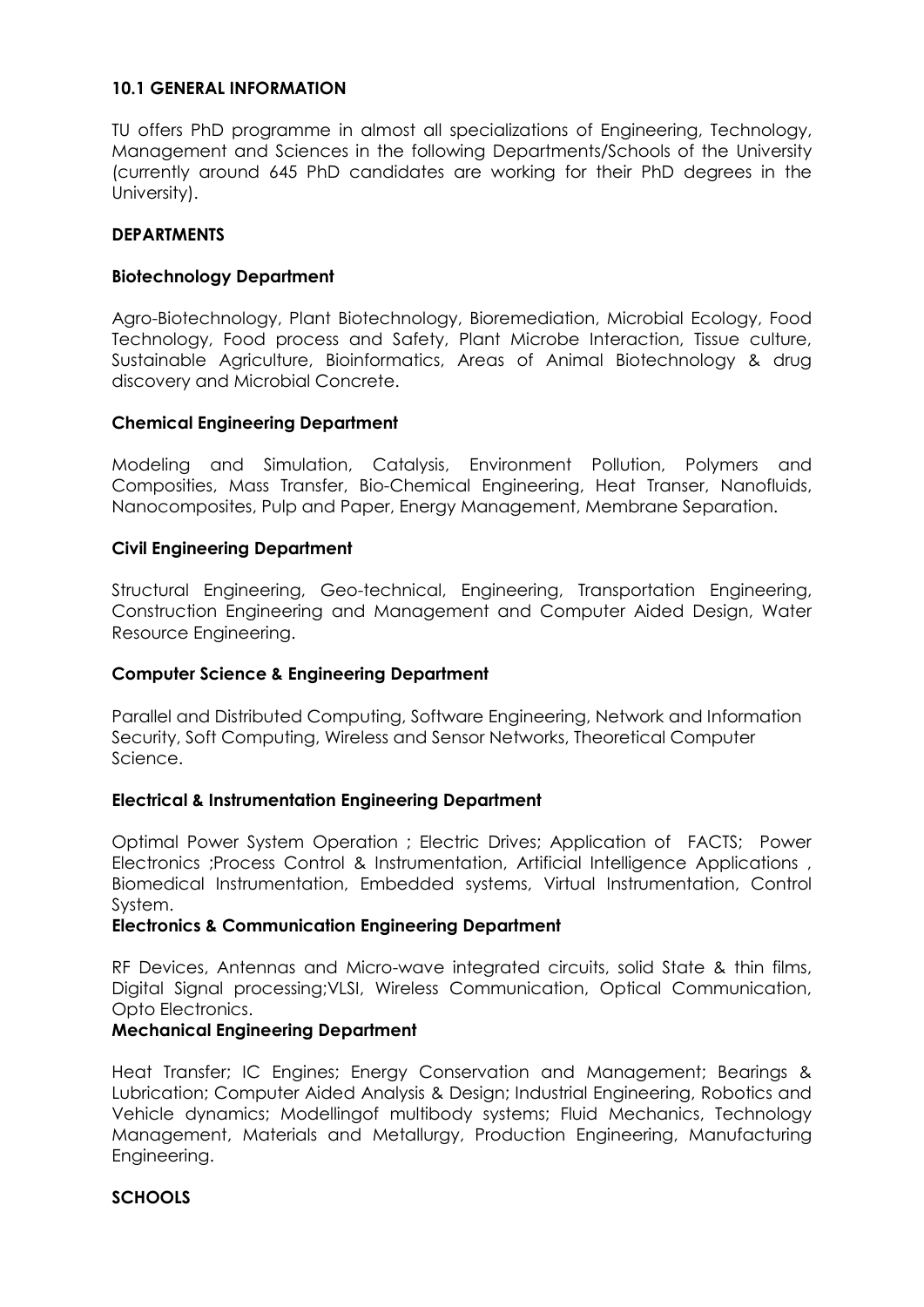### **10.1 GENERAL INFORMATION**

TU offers PhD programme in almost all specializations of Engineering, Technology, Management and Sciences in the following Departments/Schools of the University (currently around 645 PhD candidates are working for their PhD degrees in the University).

### **DEPARTMENTS**

### **Biotechnology Department**

Agro-Biotechnology, Plant Biotechnology, Bioremediation, Microbial Ecology, Food Technology, Food process and Safety, Plant Microbe Interaction, Tissue culture, Sustainable Agriculture, Bioinformatics, Areas of Animal Biotechnology & drug discovery and Microbial Concrete.

#### **Chemical Engineering Department**

Modeling and Simulation, Catalysis, Environment Pollution, Polymers and Composities, Mass Transfer, Bio-Chemical Engineering, Heat Transer, Nanofluids, Nanocomposites, Pulp and Paper, Energy Management, Membrane Separation.

### **Civil Engineering Department**

Structural Engineering, Geo-technical, Engineering, Transportation Engineering, Construction Engineering and Management and Computer Aided Design, Water Resource Engineering.

#### **Computer Science & Engineering Department**

Parallel and Distributed Computing, Software Engineering, Network and Information Security, Soft Computing, Wireless and Sensor Networks, Theoretical Computer Science.

#### **Electrical & Instrumentation Engineering Department**

Optimal Power System Operation ; Electric Drives; Application of FACTS; Power Electronics ;Process Control & Instrumentation, Artificial Intelligence Applications , Biomedical Instrumentation, Embedded systems, Virtual Instrumentation, Control System.

#### **Electronics & Communication Engineering Department**

RF Devices, Antennas and Micro-wave integrated circuits, solid State & thin films, Digital Signal processing;VLSI, Wireless Communication, Optical Communication, Opto Electronics.

#### **Mechanical Engineering Department**

Heat Transfer; IC Engines; Energy Conservation and Management; Bearings & Lubrication; Computer Aided Analysis & Design; Industrial Engineering, Robotics and Vehicle dynamics; Modellingof multibody systems; Fluid Mechanics, Technology Management, Materials and Metallurgy, Production Engineering, Manufacturing Engineering.

# **SCHOOLS**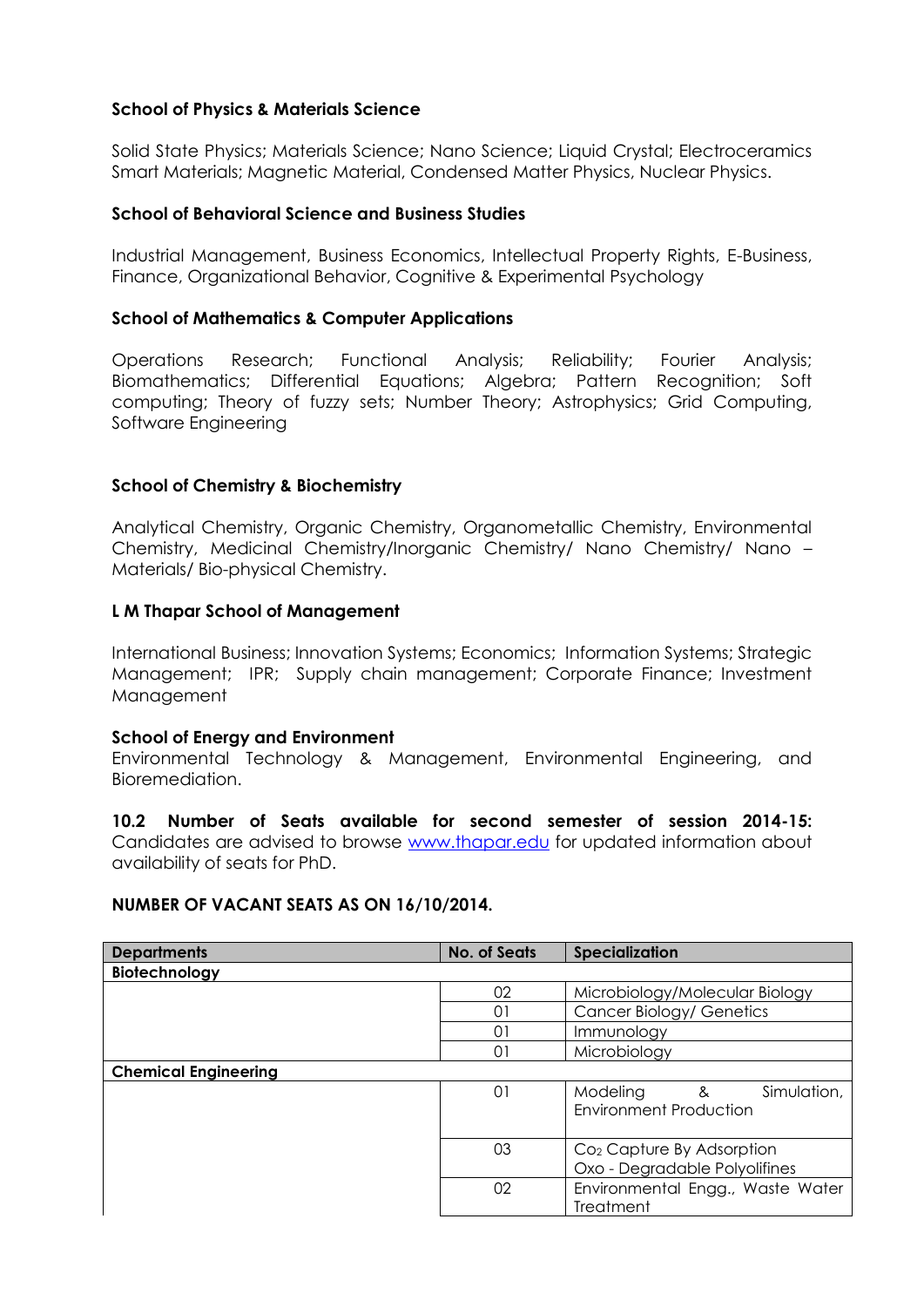# **School of Physics & Materials Science**

Solid State Physics; Materials Science; Nano Science; Liquid Crystal; Electroceramics Smart Materials; Magnetic Material, Condensed Matter Physics, Nuclear Physics.

# **School of Behavioral Science and Business Studies**

Industrial Management, Business Economics, Intellectual Property Rights, E-Business, Finance, Organizational Behavior, Cognitive & Experimental Psychology

### **School of Mathematics & Computer Applications**

Operations Research; Functional Analysis; Reliability; Fourier Analysis; Biomathematics; Differential Equations; Algebra; Pattern Recognition; Soft computing; Theory of fuzzy sets; Number Theory; Astrophysics; Grid Computing, Software Engineering

### **School of Chemistry & Biochemistry**

Analytical Chemistry, Organic Chemistry, Organometallic Chemistry, Environmental Chemistry, Medicinal Chemistry/Inorganic Chemistry/ Nano Chemistry/ Nano – Materials/ Bio-physical Chemistry.

#### **L M Thapar School of Management**

International Business; Innovation Systems; Economics; Information Systems; Strategic Management; IPR; Supply chain management; Corporate Finance; Investment Management

#### **School of Energy and Environment**

Environmental Technology & Management, Environmental Engineering, and Bioremediation.

# **10.2 Number of Seats available for second semester of session 2014-15:**

Candidates are advised to browse [www.thapar.edu](http://www.thapar.edu/) for updated information about availability of seats for PhD.

#### **NUMBER OF VACANT SEATS AS ON 16/10/2014.**

| <b>Departments</b>          | <b>No. of Seats</b> | Specialization                                                             |
|-----------------------------|---------------------|----------------------------------------------------------------------------|
| Biotechnology               |                     |                                                                            |
|                             | 02                  | Microbiology/Molecular Biology                                             |
|                             | $\Omega$            | Cancer Biology/ Genetics                                                   |
|                             | $\Omega$            | Immunology                                                                 |
|                             | 01                  | Microbiology                                                               |
| <b>Chemical Engineering</b> |                     |                                                                            |
|                             | 01                  | Modeling<br>Simulation,<br>8 <sup>2</sup><br><b>Environment Production</b> |
|                             | 03                  | Co <sub>2</sub> Capture By Adsorption<br>Oxo - Degradable Polyolifines     |
|                             | 02                  | Environmental Engg., Waste Water<br><b>Treatment</b>                       |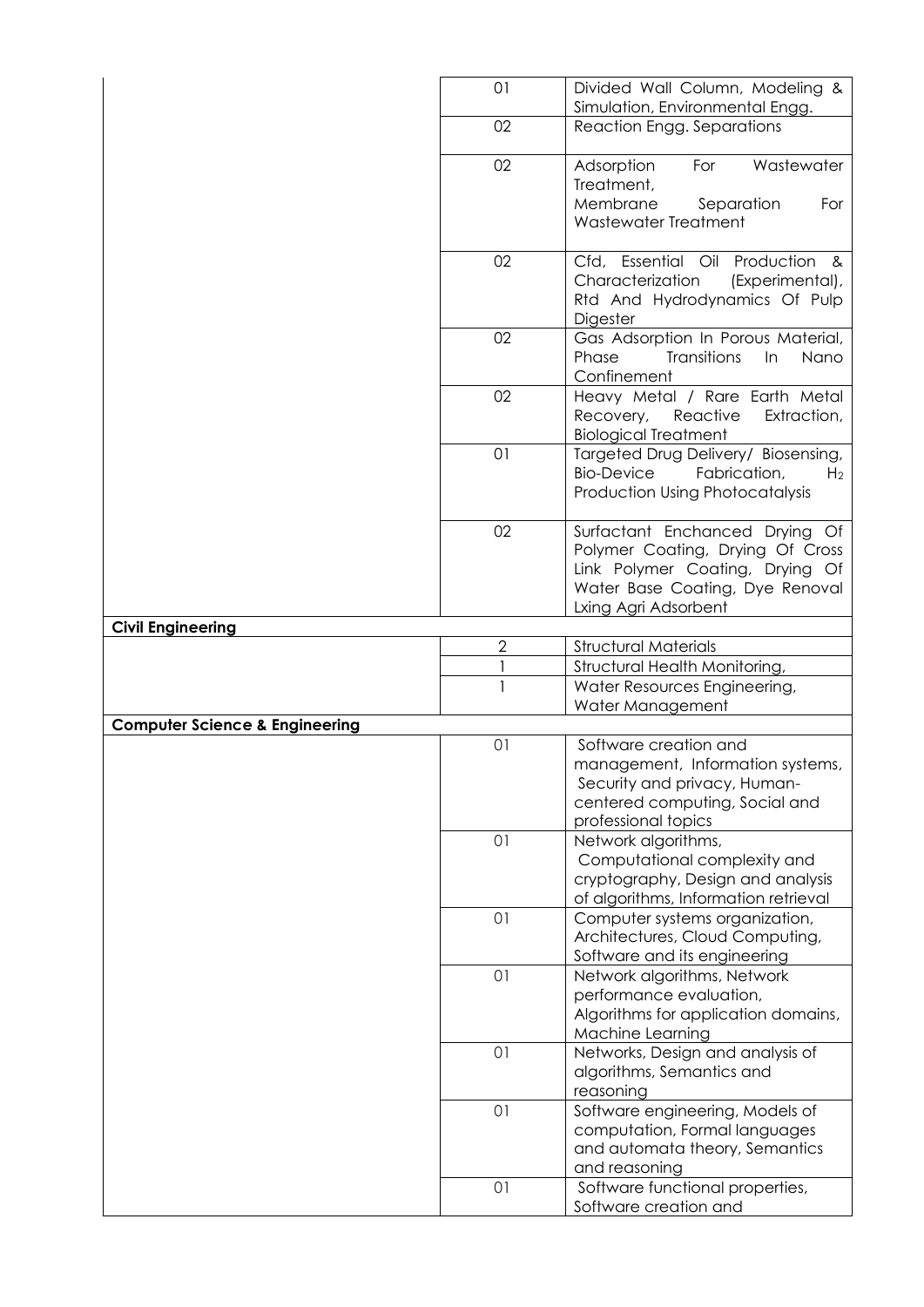|                                           | 01             | Divided Wall Column, Modeling &<br>Simulation, Environmental Engg.                                                                                               |
|-------------------------------------------|----------------|------------------------------------------------------------------------------------------------------------------------------------------------------------------|
|                                           | 02             | Reaction Engg. Separations                                                                                                                                       |
|                                           | 02             | Adsorption<br>For<br>Wastewater<br>Treatment,<br>Membrane<br>Separation<br>For<br>Wastewater Treatment                                                           |
|                                           | 02             | Cfd, Essential Oil Production<br>୍ଥ<br>Characterization<br>(Experimental),<br>Rtd And Hydrodynamics Of Pulp<br>Digester                                          |
|                                           | 02             | Gas Adsorption In Porous Material,<br><b>Transitions</b><br>Phase<br>In<br>Nano<br>Confinement                                                                   |
|                                           | 02             | Heavy Metal / Rare Earth Metal<br>Reactive<br>Recovery,<br>Extraction,<br><b>Biological Treatment</b>                                                            |
|                                           | 01             | Targeted Drug Delivery/ Biosensing,<br><b>Bio-Device</b><br>Fabrication,<br>H <sub>2</sub><br><b>Production Using Photocatalysis</b>                             |
|                                           | 02             | Surfactant Enchanced Drying Of<br>Polymer Coating, Drying Of Cross<br>Link Polymer Coating, Drying Of<br>Water Base Coating, Dye Renoval<br>Lxing Agri Adsorbent |
| <b>Civil Engineering</b>                  |                |                                                                                                                                                                  |
|                                           | $\overline{2}$ | <b>Structural Materials</b>                                                                                                                                      |
|                                           |                | Structural Health Monitoring,                                                                                                                                    |
|                                           | $\mathbf{1}$   | Water Resources Engineering,<br>Water Management                                                                                                                 |
| <b>Computer Science &amp; Engineering</b> |                |                                                                                                                                                                  |
|                                           | 01             | Software creation and<br>management, Information systems,<br>Security and privacy, Human-<br>centered computing, Social and<br>professional topics               |
|                                           | 01             | Network algorithms,<br>Computational complexity and<br>cryptography, Design and analysis<br>of algorithms, Information retrieval                                 |
|                                           | 01             | Computer systems organization,<br>Architectures, Cloud Computing,<br>Software and its engineering                                                                |
|                                           | 01             | Network algorithms, Network<br>performance evaluation,<br>Algorithms for application domains,<br>Machine Learning                                                |
|                                           | 01             | Networks, Design and analysis of<br>algorithms, Semantics and<br>reasoning                                                                                       |
|                                           | 01             | Software engineering, Models of<br>computation, Formal languages<br>and automata theory, Semantics<br>and reasoning                                              |
|                                           | 01             | Software functional properties,<br>Software creation and                                                                                                         |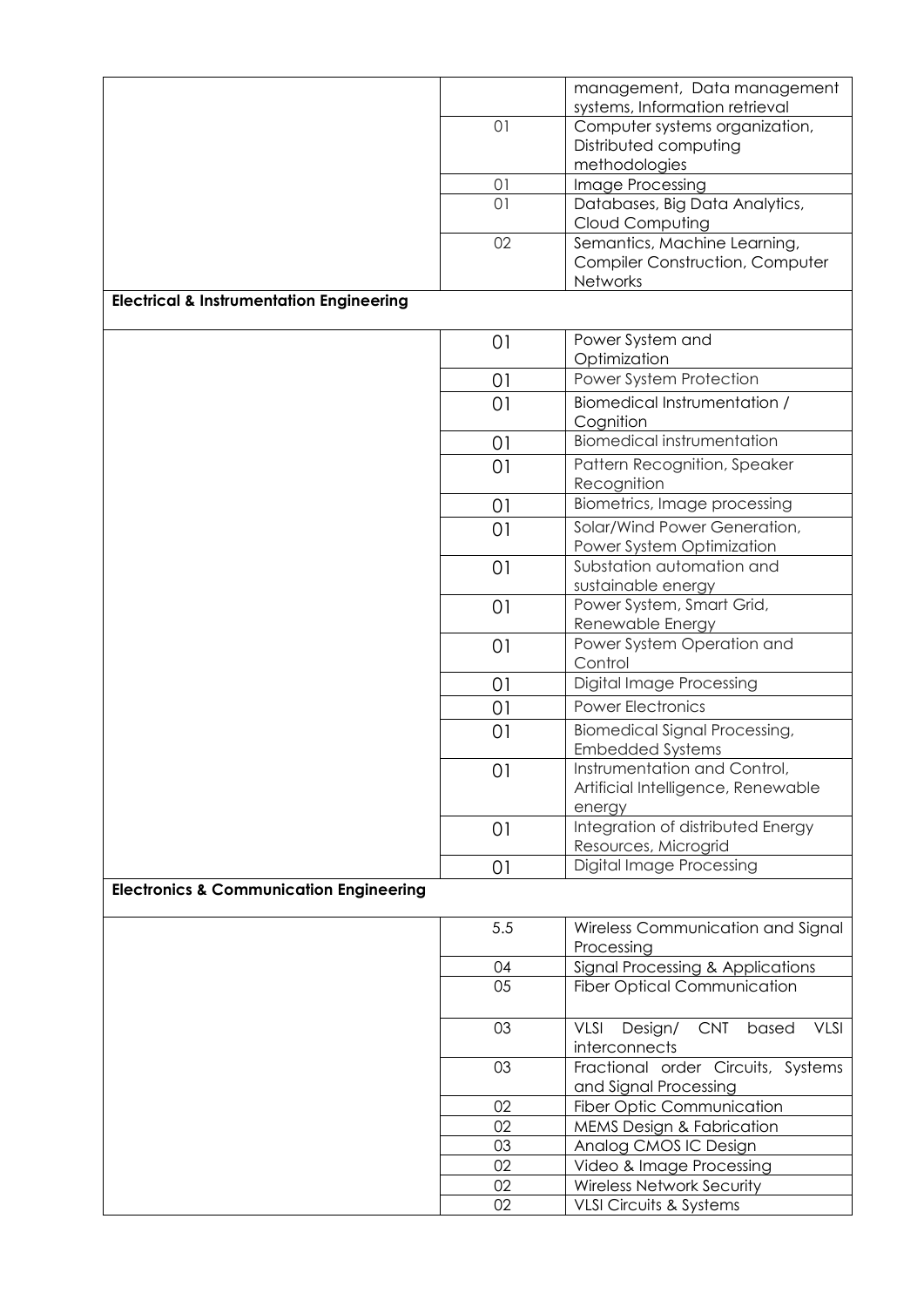|                                                     |     | management, Data management<br>systems, Information retrieval                 |
|-----------------------------------------------------|-----|-------------------------------------------------------------------------------|
|                                                     | 01  | Computer systems organization,                                                |
|                                                     |     | Distributed computing                                                         |
|                                                     |     | methodologies                                                                 |
|                                                     | 01  | Image Processing                                                              |
|                                                     | 01  | Databases, Big Data Analytics,<br>Cloud Computing                             |
|                                                     | 02  | Semantics, Machine Learning,                                                  |
|                                                     |     | <b>Compiler Construction, Computer</b>                                        |
|                                                     |     | Networks                                                                      |
| <b>Electrical &amp; Instrumentation Engineering</b> |     |                                                                               |
|                                                     | 01  | Power System and                                                              |
|                                                     |     | Optimization<br>Power System Protection                                       |
|                                                     | 01  |                                                                               |
|                                                     | 01  | Biomedical Instrumentation /<br>Cognition                                     |
|                                                     | 01  | <b>Biomedical instrumentation</b>                                             |
|                                                     | 01  | Pattern Recognition, Speaker<br>Recognition                                   |
|                                                     | 01  | Biometrics, Image processing                                                  |
|                                                     | 01  | Solar/Wind Power Generation,                                                  |
|                                                     |     | Power System Optimization                                                     |
|                                                     | 01  | Substation automation and                                                     |
|                                                     |     | sustainable energy                                                            |
|                                                     | 01  | Power System, Smart Grid,<br>Renewable Energy                                 |
|                                                     | 01  | Power System Operation and                                                    |
|                                                     |     | Control                                                                       |
|                                                     | 01  | <b>Digital Image Processing</b>                                               |
|                                                     | 01  | <b>Power Electronics</b>                                                      |
|                                                     | 01  | <b>Biomedical Signal Processing,</b><br><b>Embedded Systems</b>               |
|                                                     | 01  | Instrumentation and Control,<br>Artificial Intelligence, Renewable<br>energy  |
|                                                     | 01  | Integration of distributed Energy<br>Resources, Microgrid                     |
|                                                     | 01  | Digital Image Processing                                                      |
| <b>Electronics &amp; Communication Engineering</b>  |     |                                                                               |
|                                                     | 5.5 | Wireless Communication and Signal<br>Processing                               |
|                                                     | 04  | Signal Processing & Applications                                              |
|                                                     | 05  | <b>Fiber Optical Communication</b>                                            |
|                                                     | 03  | <b>VLSI</b><br><b>CNT</b><br><b>VLSI</b><br>Design/<br>based<br>interconnects |
|                                                     | 03  | Fractional order Circuits, Systems<br>and Signal Processing                   |
|                                                     | 02  | Fiber Optic Communication                                                     |
|                                                     | 02  | <b>MEMS Design &amp; Fabrication</b>                                          |
|                                                     | 03  | Analog CMOS IC Design                                                         |
|                                                     | 02  | Video & Image Processing                                                      |
|                                                     | 02  | <b>Wireless Network Security</b>                                              |
|                                                     | 02  | VLSI Circuits & Systems                                                       |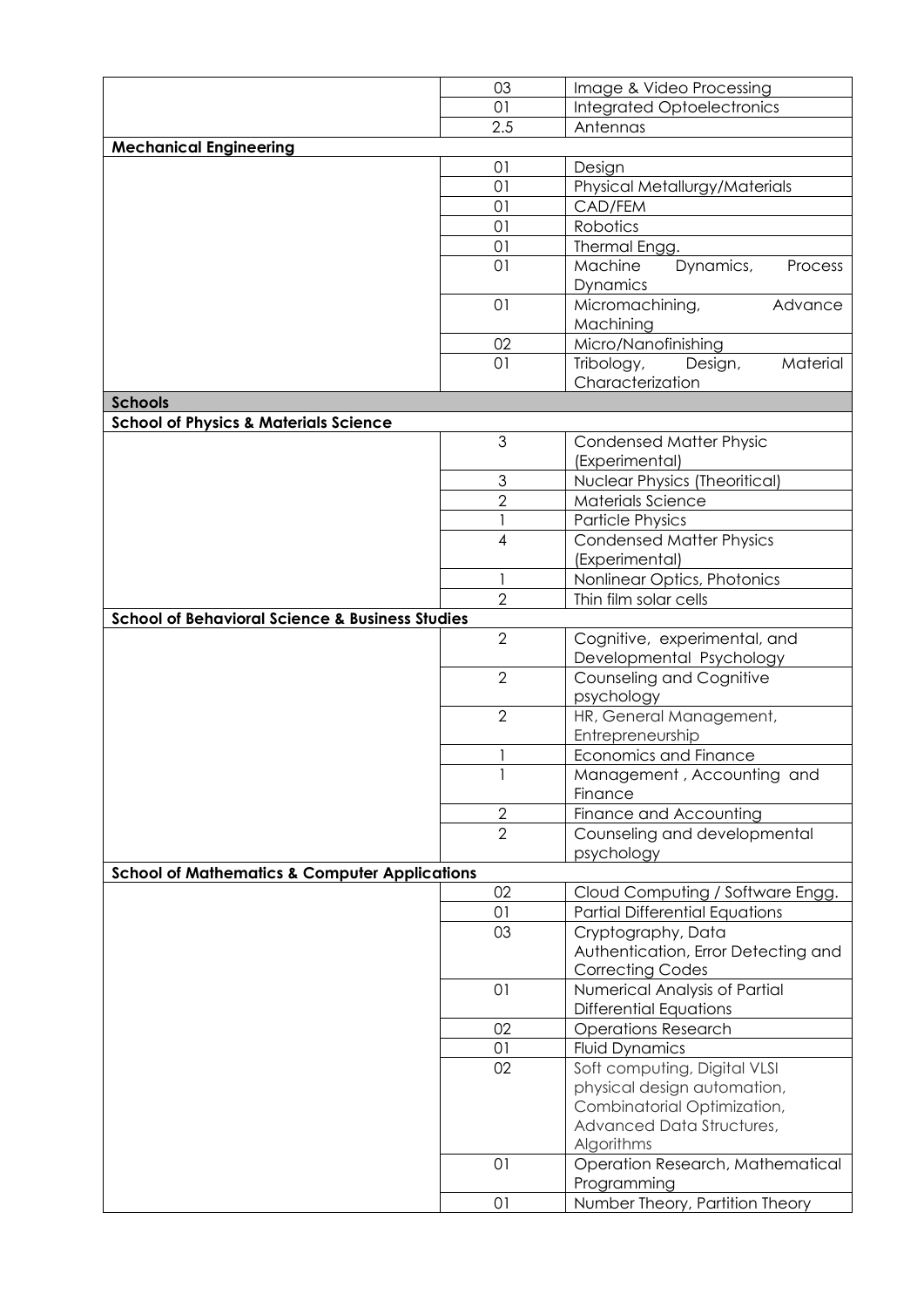|                                                            | 03             | Image & Video Processing              |
|------------------------------------------------------------|----------------|---------------------------------------|
|                                                            | 01             | <b>Integrated Optoelectronics</b>     |
|                                                            | 2.5            | Antennas                              |
| <b>Mechanical Engineering</b>                              |                |                                       |
|                                                            | 01             | Design                                |
|                                                            | 01             | Physical Metallurgy/Materials         |
|                                                            | 01             | CAD/FEM                               |
|                                                            | 01             |                                       |
|                                                            |                | Robotics                              |
|                                                            | 01             | Thermal Engg.                         |
|                                                            | 01             | Machine<br>Dynamics,<br>Process       |
|                                                            |                | Dynamics                              |
|                                                            | 01             | Micromachining,<br>Advance            |
|                                                            |                | Machining                             |
|                                                            | 02             | Micro/Nanofinishing                   |
|                                                            | 01             | Tribology,<br>Material<br>Design,     |
|                                                            |                | Characterization                      |
| <b>Schools</b>                                             |                |                                       |
| <b>School of Physics &amp; Materials Science</b>           |                |                                       |
|                                                            | 3              | <b>Condensed Matter Physic</b>        |
|                                                            |                | (Experimental)                        |
|                                                            | $\mathfrak{S}$ | <b>Nuclear Physics (Theoritical)</b>  |
|                                                            | $\overline{2}$ | Materials Science                     |
|                                                            |                |                                       |
|                                                            |                | <b>Particle Physics</b>               |
|                                                            | $\overline{4}$ | <b>Condensed Matter Physics</b>       |
|                                                            |                | (Experimental)                        |
|                                                            | 1              | Nonlinear Optics, Photonics           |
|                                                            | $\overline{2}$ | Thin film solar cells                 |
| <b>School of Behavioral Science &amp; Business Studies</b> |                |                                       |
|                                                            | $\overline{2}$ | Cognitive, experimental, and          |
|                                                            |                | Developmental Psychology              |
|                                                            | $\overline{2}$ | Counseling and Cognitive              |
|                                                            |                | psychology                            |
|                                                            | $\overline{2}$ | HR, General Management,               |
|                                                            |                | Entrepreneurship                      |
|                                                            |                | <b>Economics and Finance</b>          |
|                                                            |                | Management, Accounting and            |
|                                                            |                | Finance                               |
|                                                            | $\mathbf{2}$   | Finance and Accounting                |
|                                                            | $\overline{2}$ | Counseling and developmental          |
|                                                            |                |                                       |
|                                                            |                | psychology                            |
| <b>School of Mathematics &amp; Computer Applications</b>   |                |                                       |
|                                                            | 02             | Cloud Computing / Software Engg.      |
|                                                            | 01             | <b>Partial Differential Equations</b> |
|                                                            | 03             | Cryptography, Data                    |
|                                                            |                | Authentication, Error Detecting and   |
|                                                            |                | <b>Correcting Codes</b>               |
|                                                            | 01             | Numerical Analysis of Partial         |
|                                                            |                | <b>Differential Equations</b>         |
|                                                            | 02             | <b>Operations Research</b>            |
|                                                            | 01             | <b>Fluid Dynamics</b>                 |
|                                                            | 02             | Soft computing, Digital VLSI          |
|                                                            |                | physical design automation,           |
|                                                            |                | Combinatorial Optimization,           |
|                                                            |                | Advanced Data Structures,             |
|                                                            |                | Algorithms                            |
|                                                            | 01             | Operation Research, Mathematical      |
|                                                            |                | Programming                           |
|                                                            | 01             | Number Theory, Partition Theory       |
|                                                            |                |                                       |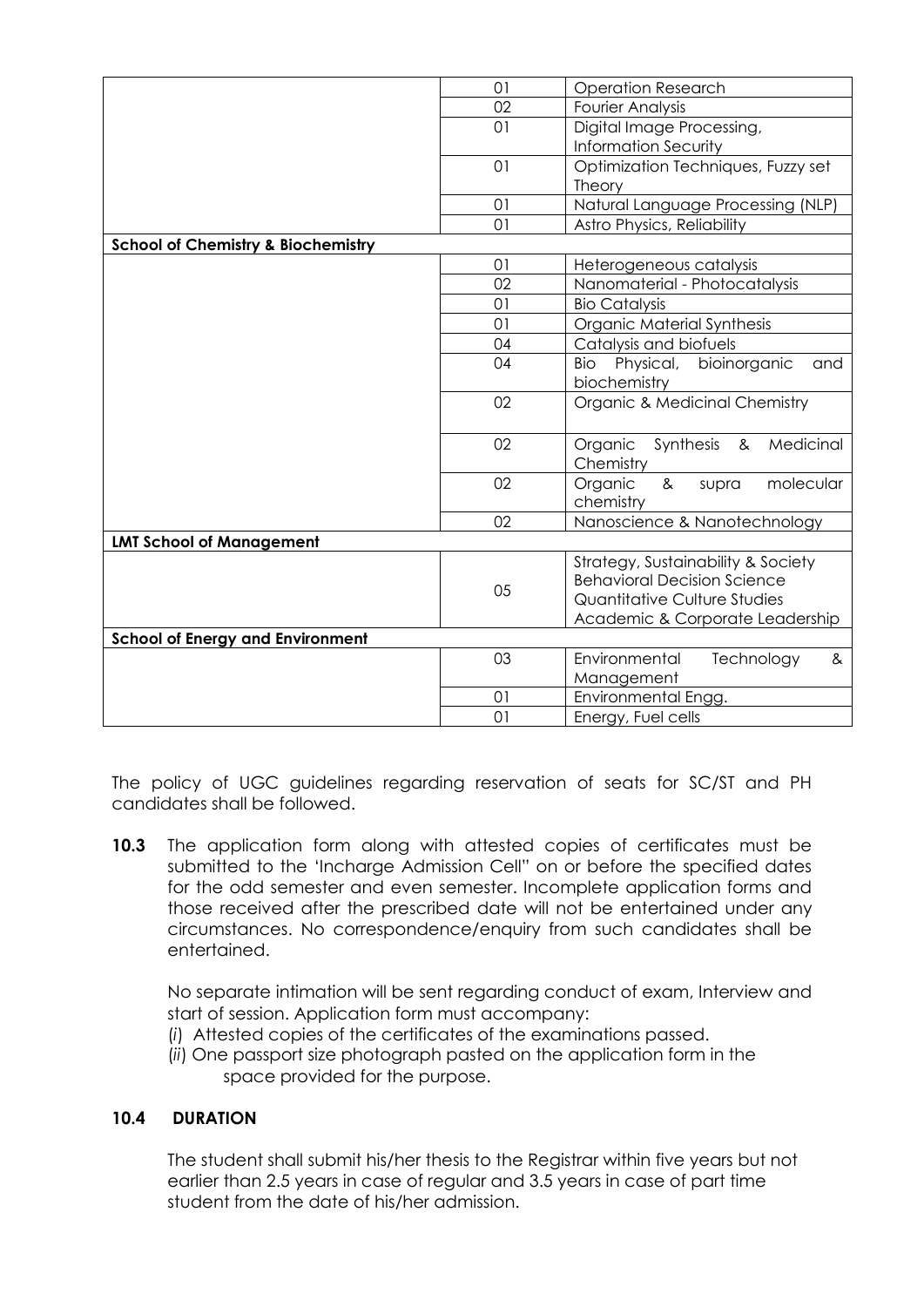|                                               | 01 | <b>Operation Research</b>                                                                                                                   |
|-----------------------------------------------|----|---------------------------------------------------------------------------------------------------------------------------------------------|
|                                               | 02 | <b>Fourier Analysis</b>                                                                                                                     |
|                                               | 01 | Digital Image Processing,                                                                                                                   |
|                                               |    | <b>Information Security</b>                                                                                                                 |
|                                               | 01 | Optimization Techniques, Fuzzy set                                                                                                          |
|                                               |    | Theory                                                                                                                                      |
|                                               | 01 | Natural Language Processing (NLP)                                                                                                           |
|                                               | 01 | Astro Physics, Reliability                                                                                                                  |
| <b>School of Chemistry &amp; Biochemistry</b> |    |                                                                                                                                             |
|                                               | 01 | Heterogeneous catalysis                                                                                                                     |
|                                               | 02 | Nanomaterial - Photocatalysis                                                                                                               |
|                                               | 01 | <b>Bio Catalysis</b>                                                                                                                        |
|                                               | 01 | Organic Material Synthesis                                                                                                                  |
|                                               | 04 | Catalysis and biofuels                                                                                                                      |
|                                               | 04 | Physical,<br>bioinorganic<br>Bio<br>and                                                                                                     |
|                                               |    | biochemistry                                                                                                                                |
|                                               | 02 | Organic & Medicinal Chemistry                                                                                                               |
|                                               | 02 | Organic<br>Synthesis<br>Medicinal<br>&<br>Chemistry                                                                                         |
|                                               | 02 | 8 <sub>x</sub><br>Organic<br>molecular<br>supra<br>chemistry                                                                                |
|                                               | 02 | Nanoscience & Nanotechnology                                                                                                                |
| <b>LMT School of Management</b>               |    |                                                                                                                                             |
|                                               | 05 | Strategy, Sustainability & Society<br><b>Behavioral Decision Science</b><br>Quantitative Culture Studies<br>Academic & Corporate Leadership |
| <b>School of Energy and Environment</b>       |    |                                                                                                                                             |
|                                               | 03 | Environmental<br>Technology<br>&<br>Management                                                                                              |
|                                               | 01 | Environmental Engg.                                                                                                                         |
|                                               | 01 | Energy, Fuel cells                                                                                                                          |

The policy of UGC guidelines regarding reservation of seats for SC/ST and PH candidates shall be followed.

**10.3** The application form along with attested copies of certificates must be submitted to the "Incharge Admission Cell" on or before the specified dates for the odd semester and even semester. Incomplete application forms and those received after the prescribed date will not be entertained under any circumstances. No correspondence/enquiry from such candidates shall be entertained.

No separate intimation will be sent regarding conduct of exam, Interview and start of session. Application form must accompany:

- (*i*) Attested copies of the certificates of the examinations passed.
- (*ii*) One passport size photograph pasted on the application form in the space provided for the purpose.

# **10.4 DURATION**

The student shall submit his/her thesis to the Registrar within five years but not earlier than 2.5 years in case of regular and 3.5 years in case of part time student from the date of his/her admission.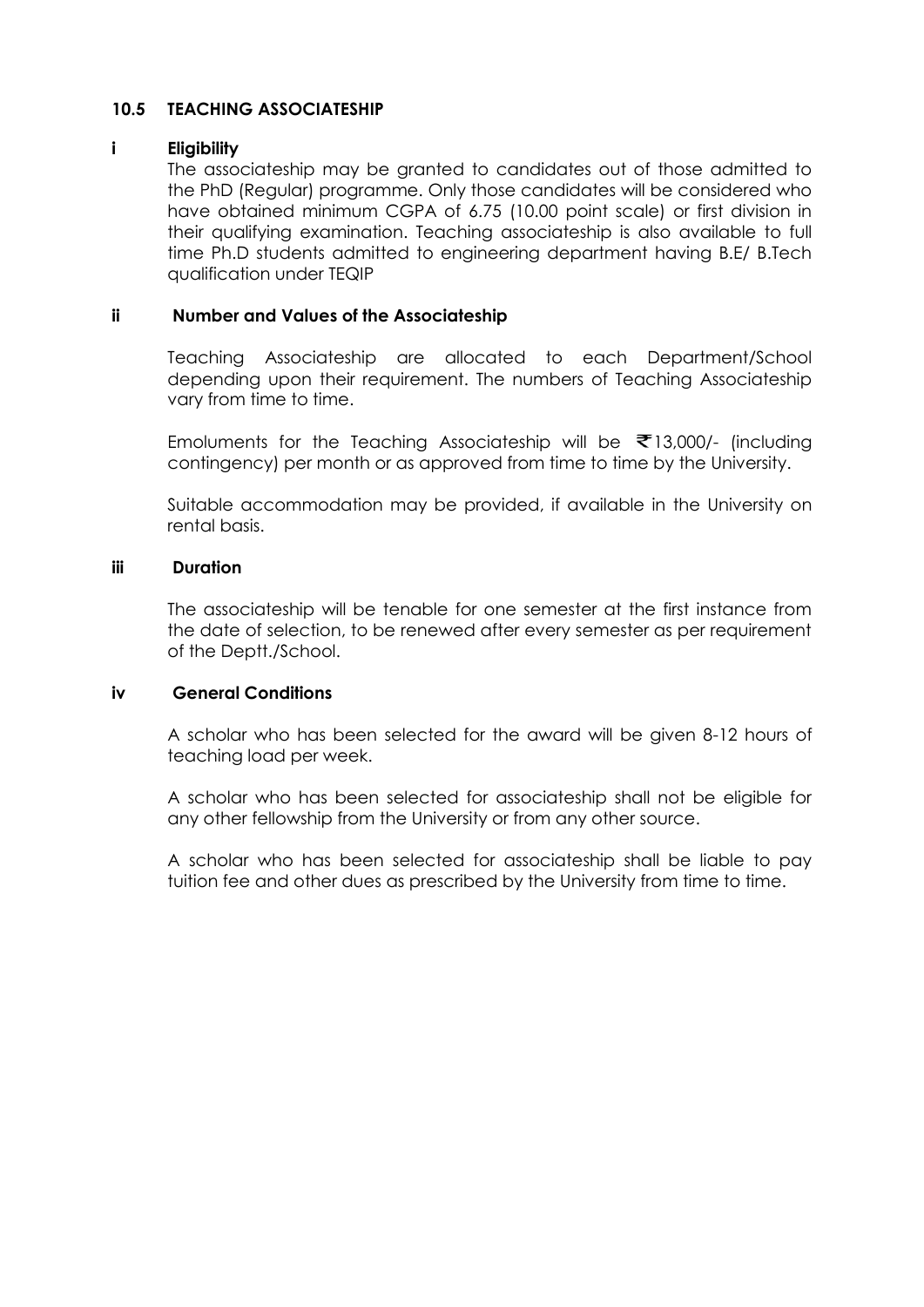### **10.5 TEACHING ASSOCIATESHIP**

#### **i Eligibility**

The associateship may be granted to candidates out of those admitted to the PhD (Regular) programme. Only those candidates will be considered who have obtained minimum CGPA of 6.75 (10.00 point scale) or first division in their qualifying examination. Teaching associateship is also available to full time Ph.D students admitted to engineering department having B.E/ B.Tech qualification under TEQIP

### **ii Number and Values of the Associateship**

Teaching Associateship are allocated to each Department/School depending upon their requirement. The numbers of Teaching Associateship vary from time to time.

Emoluments for the Teaching Associateship will be  $\bar{\tau}$ 13,000/- (including contingency) per month or as approved from time to time by the University.

Suitable accommodation may be provided, if available in the University on rental basis.

#### **iii Duration**

The associateship will be tenable for one semester at the first instance from the date of selection, to be renewed after every semester as per requirement of the Deptt./School.

#### **iv General Conditions**

A scholar who has been selected for the award will be given 8-12 hours of teaching load per week.

A scholar who has been selected for associateship shall not be eligible for any other fellowship from the University or from any other source.

A scholar who has been selected for associateship shall be liable to pay tuition fee and other dues as prescribed by the University from time to time.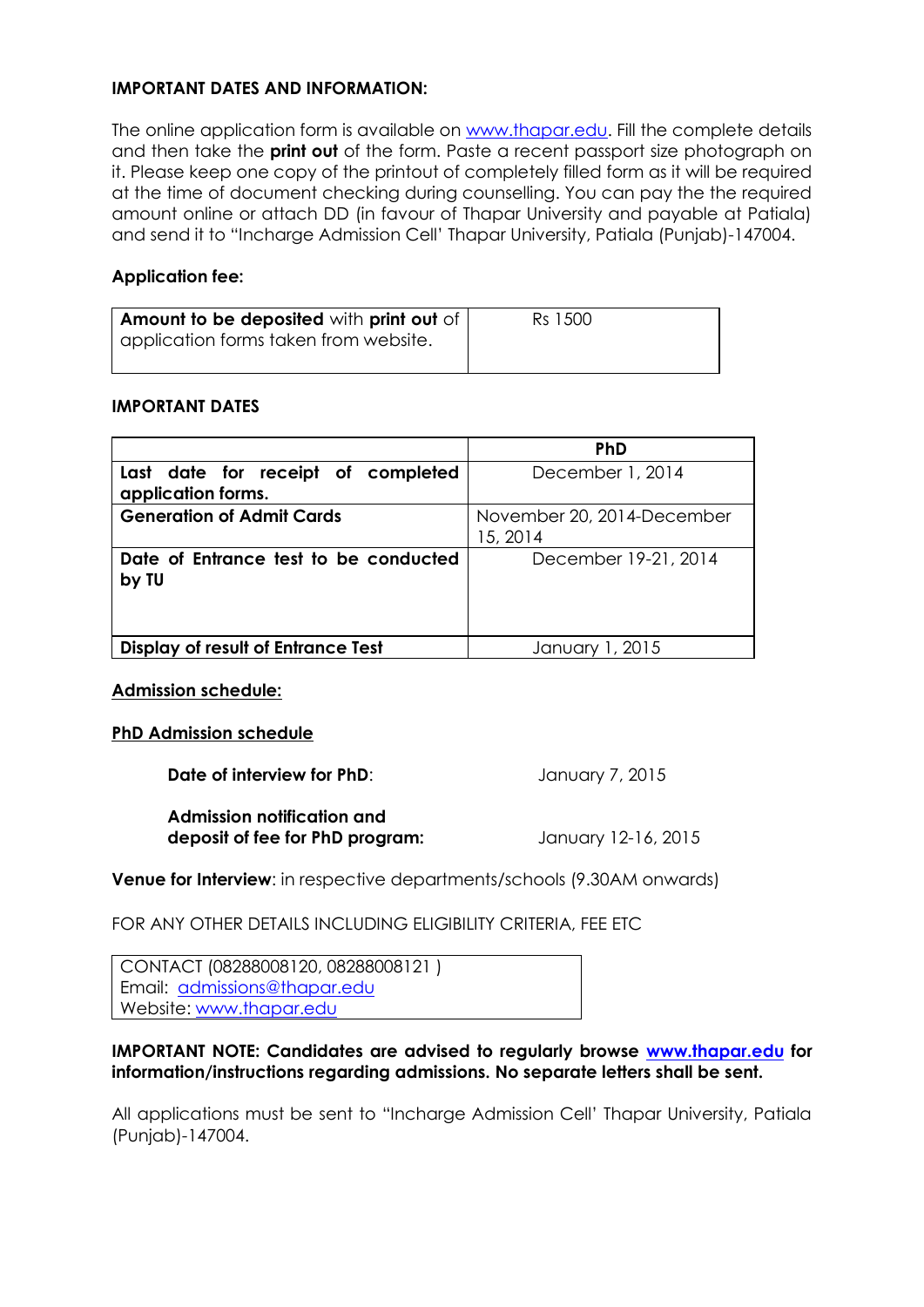### **IMPORTANT DATES AND INFORMATION:**

The online application form is available on [www.thapar.edu.](http://www.thapar.edu/) Fill the complete details and then take the **print out** of the form. Paste a recent passport size photograph on it. Please keep one copy of the printout of completely filled form as it will be required at the time of document checking during counselling. You can pay the the required amount online or attach DD (in favour of Thapar University and payable at Patiala) and send it to "Incharge Admission Cell" Thapar University, Patiala (Punjab)-147004.

# **Application fee:**

| Amount to be deposited with print out of<br>  application forms taken from website. | Rs 1500 |
|-------------------------------------------------------------------------------------|---------|
|                                                                                     |         |

### **IMPORTANT DATES**

|                                                | <b>PhD</b>                 |
|------------------------------------------------|----------------------------|
| Last date for receipt of completed             | December 1, 2014           |
| application forms.                             |                            |
| <b>Generation of Admit Cards</b>               | November 20, 2014-December |
|                                                | 15, 2014                   |
| Date of Entrance test to be conducted<br>by TU | December 19-21, 2014       |
|                                                |                            |
| <b>Display of result of Entrance Test</b>      | January 1, 2015            |

#### **Admission schedule:**

#### **PhD Admission schedule**

**Date of interview for PhD**: January 7, 2015

**Admission notification and deposit of fee for PhD program:** January 12-16, 2015

**Venue for Interview**: in respective departments/schools (9.30AM onwards)

# FOR ANY OTHER DETAILS INCLUDING ELIGIBILITY CRITERIA, FEE ETC

CONTACT (08288008120, 08288008121 ) Email: [admissions@thapar.edu](mailto:admissions@thapar.edu) Website: [www.thapar.edu](http://www.thapar.edu/)

### **IMPORTANT NOTE: Candidates are advised to regularly browse [www.thapar.edu](http://www.thapar.edu/) for information/instructions regarding admissions. No separate letters shall be sent.**

All applications must be sent to "Incharge Admission Cell" Thapar University, Patiala (Punjab)-147004.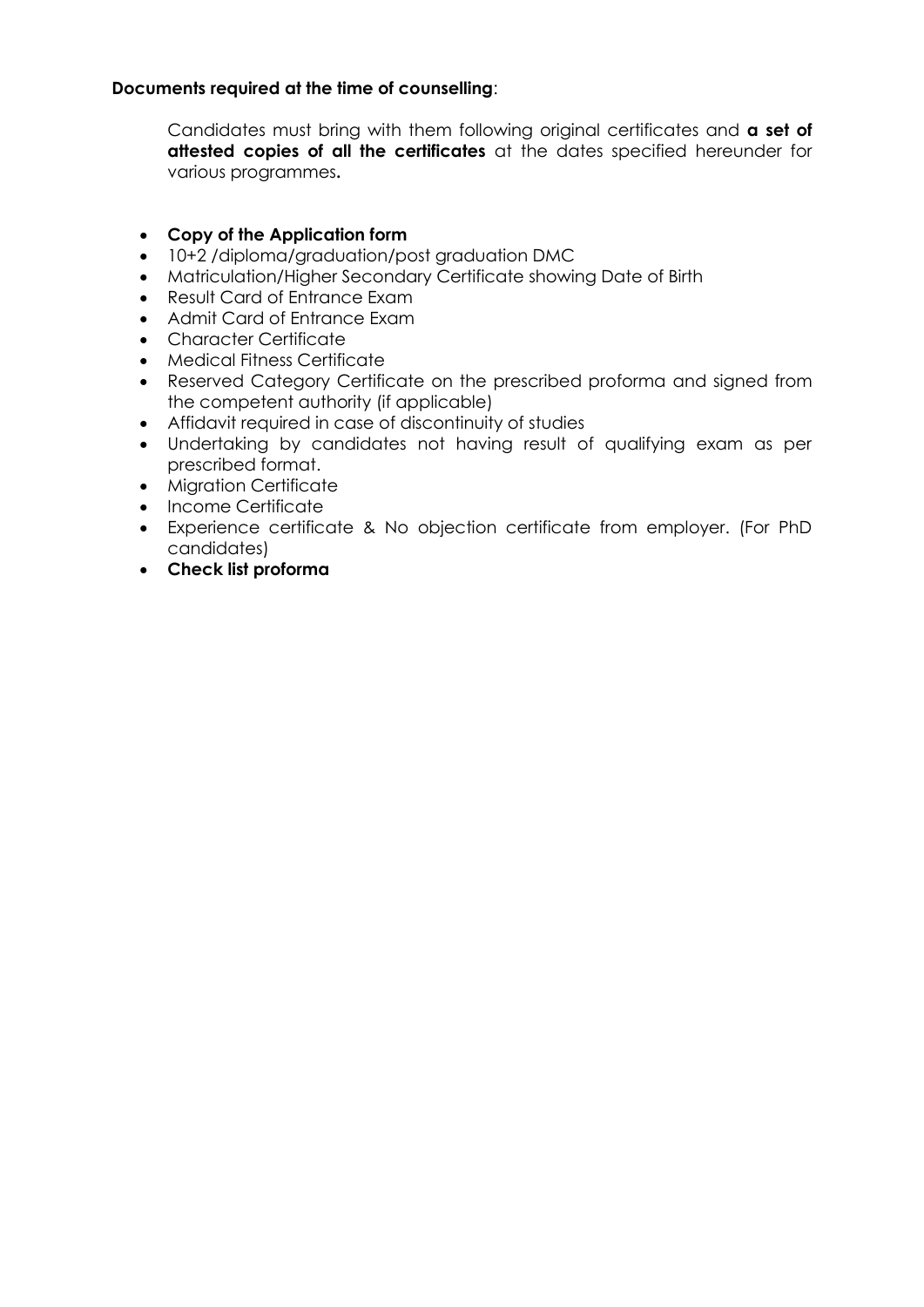# **Documents required at the time of counselling**:

Candidates must bring with them following original certificates and **a set of attested copies of all the certificates** at the dates specified hereunder for various programmes**.**

# **Copy of the Application form**

- 10+2 /diploma/graduation/post graduation DMC
- Matriculation/Higher Secondary Certificate showing Date of Birth
- Result Card of Entrance Exam
- Admit Card of Entrance Exam
- Character Certificate
- Medical Fitness Certificate
- Reserved Category Certificate on the prescribed proforma and signed from the competent authority (if applicable)
- Affidavit required in case of discontinuity of studies
- Undertaking by candidates not having result of qualifying exam as per prescribed format.
- Migration Certificate
- Income Certificate
- Experience certificate & No objection certificate from employer. (For PhD candidates)
- **Check list proforma**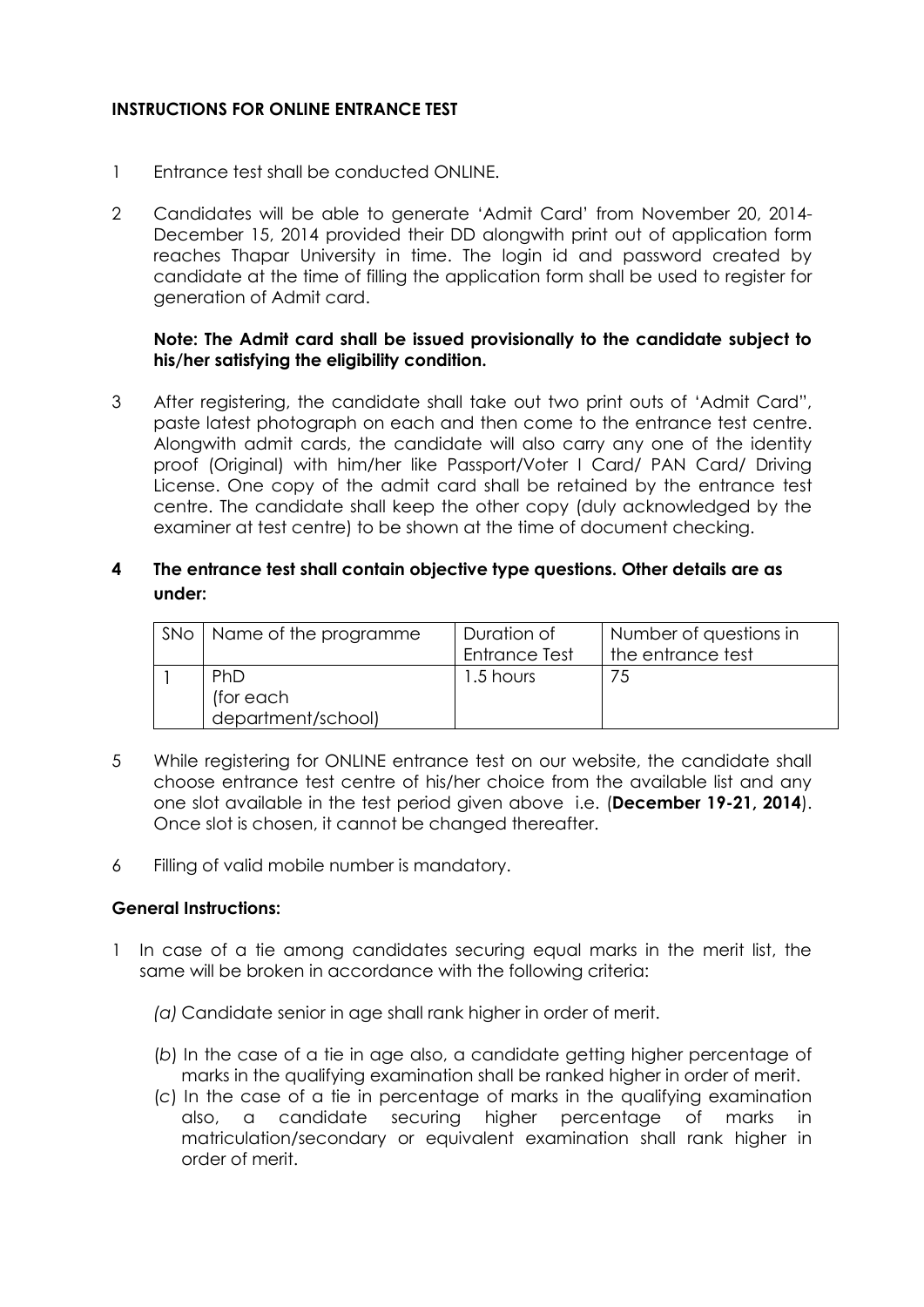# **INSTRUCTIONS FOR ONLINE ENTRANCE TEST**

- 1 Entrance test shall be conducted ONLINE.
- 2 Candidates will be able to generate "Admit Card" from November 20, 2014- December 15, 2014 provided their DD alongwith print out of application form reaches Thapar University in time. The login id and password created by candidate at the time of filling the application form shall be used to register for generation of Admit card.

### **Note: The Admit card shall be issued provisionally to the candidate subject to his/her satisfying the eligibility condition.**

3 After registering, the candidate shall take out two print outs of "Admit Card", paste latest photograph on each and then come to the entrance test centre. Alongwith admit cards, the candidate will also carry any one of the identity proof (Original) with him/her like Passport/Voter I Card/ PAN Card/ Driving License. One copy of the admit card shall be retained by the entrance test centre. The candidate shall keep the other copy (duly acknowledged by the examiner at test centre) to be shown at the time of document checking.

# **4 The entrance test shall contain objective type questions. Other details are as under:**

| SNo   Name of the programme | Duration of          | Number of questions in |
|-----------------------------|----------------------|------------------------|
|                             | <b>Entrance Test</b> | the entrance test      |
| <b>PhD</b>                  | 1.5 hours            |                        |
| (for each                   |                      |                        |
| department/school)          |                      |                        |

- 5 While registering for ONLINE entrance test on our website, the candidate shall choose entrance test centre of his/her choice from the available list and any one slot available in the test period given above i.e. (**December 19-21, 2014**). Once slot is chosen, it cannot be changed thereafter.
- 6 Filling of valid mobile number is mandatory.

#### **General Instructions:**

- 1 In case of a tie among candidates securing equal marks in the merit list, the same will be broken in accordance with the following criteria:
	- *(a)* Candidate senior in age shall rank higher in order of merit.
	- (*b*) In the case of a tie in age also, a candidate getting higher percentage of marks in the qualifying examination shall be ranked higher in order of merit.
	- (*c*) In the case of a tie in percentage of marks in the qualifying examination also, a candidate securing higher percentage of marks in matriculation/secondary or equivalent examination shall rank higher in order of merit.